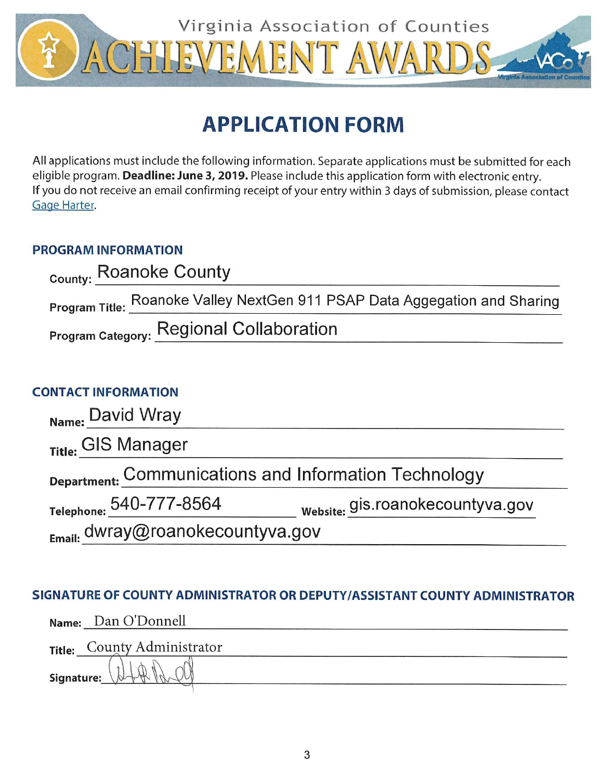

# **APPLICATION FORM**

All applications must include the following information. Separate applications must be submitted for each eligible program. Deadline: June 3, 2019. Please include this application form with electronic entry. If you do not receive an email confirming receipt of your entry within 3 days of submission, please contact Gage Harter.

### **PROGRAM INFORMATION**

| <sub>County:</sub> Roanoke County               |                                                                            |
|-------------------------------------------------|----------------------------------------------------------------------------|
|                                                 | Program Title: Roanoke Valley NextGen 911 PSAP Data Aggegation and Sharing |
| <b>Program Category: Regional Collaboration</b> |                                                                            |

## **CONTACT INFORMATION**

| Name: David Wray                                      |                                  |
|-------------------------------------------------------|----------------------------------|
| Title: GIS Manager                                    |                                  |
| Department: Communications and Information Technology |                                  |
| Telephone: 540-777-8564                               | website: gis.roanokecountyva.gov |
| $_{E_{\text{mail:}}}$ dwray@roanokecountyva.gov       |                                  |

### SIGNATURE OF COUNTY ADMINISTRATOR OR DEPUTY/ASSISTANT COUNTY ADMINISTRATOR

|            | Name: Dan O'Donnell         |
|------------|-----------------------------|
|            | Title: County Administrator |
| Signature: |                             |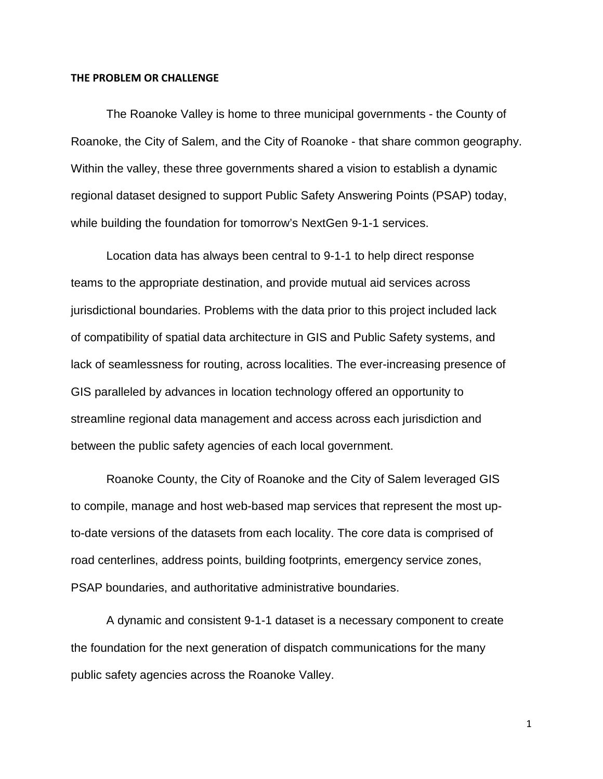### **THE PROBLEM OR CHALLENGE**

The Roanoke Valley is home to three municipal governments - the County of Roanoke, the City of Salem, and the City of Roanoke - that share common geography. Within the valley, these three governments shared a vision to establish a dynamic regional dataset designed to support Public Safety Answering Points (PSAP) today, while building the foundation for tomorrow's NextGen 9-1-1 services.

Location data has always been central to 9-1-1 to help direct response teams to the appropriate destination, and provide mutual aid services across jurisdictional boundaries. Problems with the data prior to this project included lack of compatibility of spatial data architecture in GIS and Public Safety systems, and lack of seamlessness for routing, across localities. The ever-increasing presence of GIS paralleled by advances in location technology offered an opportunity to streamline regional data management and access across each jurisdiction and between the public safety agencies of each local government.

Roanoke County, the City of Roanoke and the City of Salem leveraged GIS to compile, manage and host web-based map services that represent the most upto-date versions of the datasets from each locality. The core data is comprised of road centerlines, address points, building footprints, emergency service zones, PSAP boundaries, and authoritative administrative boundaries.

A dynamic and consistent 9-1-1 dataset is a necessary component to create the foundation for the next generation of dispatch communications for the many public safety agencies across the Roanoke Valley.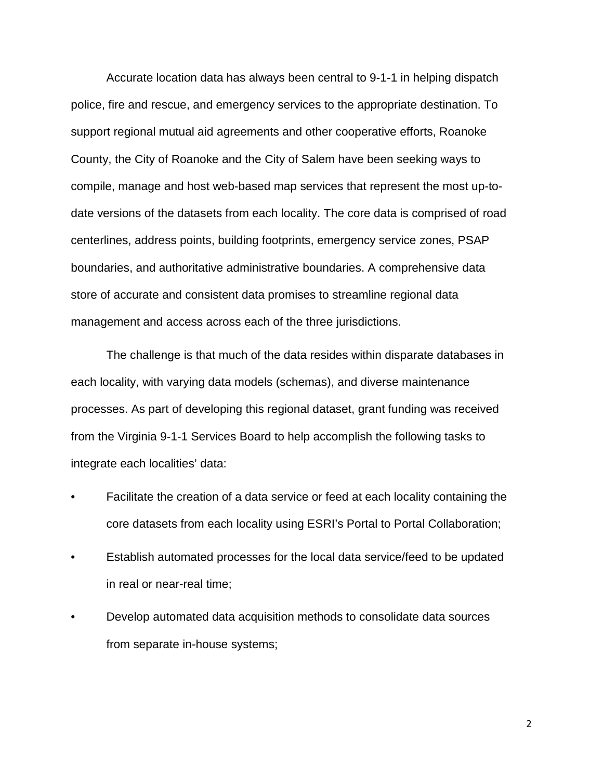Accurate location data has always been central to 9-1-1 in helping dispatch police, fire and rescue, and emergency services to the appropriate destination. To support regional mutual aid agreements and other cooperative efforts, Roanoke County, the City of Roanoke and the City of Salem have been seeking ways to compile, manage and host web-based map services that represent the most up-todate versions of the datasets from each locality. The core data is comprised of road centerlines, address points, building footprints, emergency service zones, PSAP boundaries, and authoritative administrative boundaries. A comprehensive data store of accurate and consistent data promises to streamline regional data management and access across each of the three jurisdictions.

The challenge is that much of the data resides within disparate databases in each locality, with varying data models (schemas), and diverse maintenance processes. As part of developing this regional dataset, grant funding was received from the Virginia 9-1-1 Services Board to help accomplish the following tasks to integrate each localities' data:

- Facilitate the creation of a data service or feed at each locality containing the core datasets from each locality using ESRI's Portal to Portal Collaboration;
- Establish automated processes for the local data service/feed to be updated in real or near-real time;
- Develop automated data acquisition methods to consolidate data sources from separate in-house systems;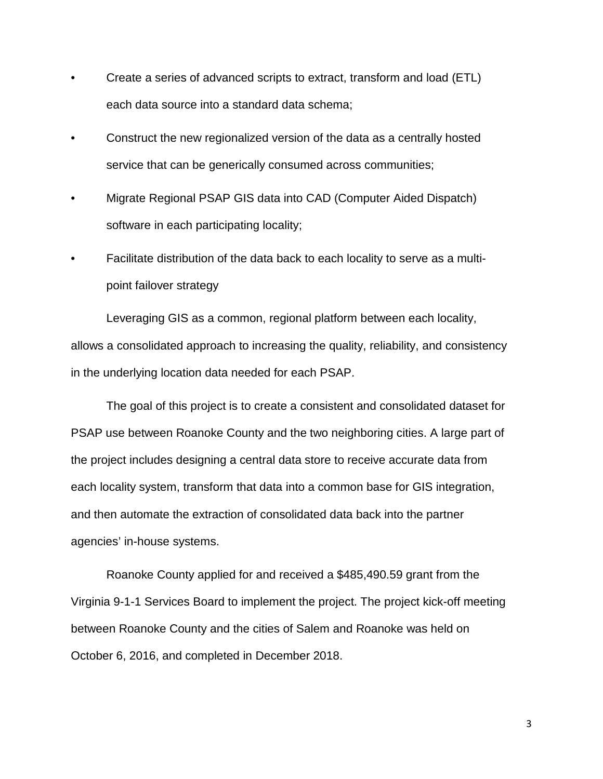- Create a series of advanced scripts to extract, transform and load (ETL) each data source into a standard data schema;
- Construct the new regionalized version of the data as a centrally hosted service that can be generically consumed across communities;
- Migrate Regional PSAP GIS data into CAD (Computer Aided Dispatch) software in each participating locality;
- Facilitate distribution of the data back to each locality to serve as a multipoint failover strategy

Leveraging GIS as a common, regional platform between each locality, allows a consolidated approach to increasing the quality, reliability, and consistency in the underlying location data needed for each PSAP.

The goal of this project is to create a consistent and consolidated dataset for PSAP use between Roanoke County and the two neighboring cities. A large part of the project includes designing a central data store to receive accurate data from each locality system, transform that data into a common base for GIS integration, and then automate the extraction of consolidated data back into the partner agencies' in-house systems.

Roanoke County applied for and received a \$485,490.59 grant from the Virginia 9-1-1 Services Board to implement the project. The project kick-off meeting between Roanoke County and the cities of Salem and Roanoke was held on October 6, 2016, and completed in December 2018.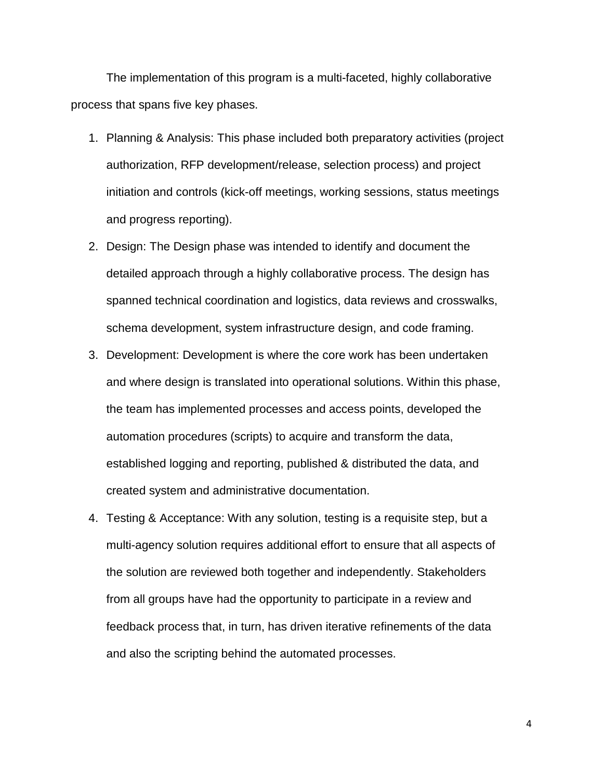The implementation of this program is a multi-faceted, highly collaborative process that spans five key phases.

- 1. Planning & Analysis: This phase included both preparatory activities (project authorization, RFP development/release, selection process) and project initiation and controls (kick-off meetings, working sessions, status meetings and progress reporting).
- 2. Design: The Design phase was intended to identify and document the detailed approach through a highly collaborative process. The design has spanned technical coordination and logistics, data reviews and crosswalks, schema development, system infrastructure design, and code framing.
- 3. Development: Development is where the core work has been undertaken and where design is translated into operational solutions. Within this phase, the team has implemented processes and access points, developed the automation procedures (scripts) to acquire and transform the data, established logging and reporting, published & distributed the data, and created system and administrative documentation.
- 4. Testing & Acceptance: With any solution, testing is a requisite step, but a multi-agency solution requires additional effort to ensure that all aspects of the solution are reviewed both together and independently. Stakeholders from all groups have had the opportunity to participate in a review and feedback process that, in turn, has driven iterative refinements of the data and also the scripting behind the automated processes.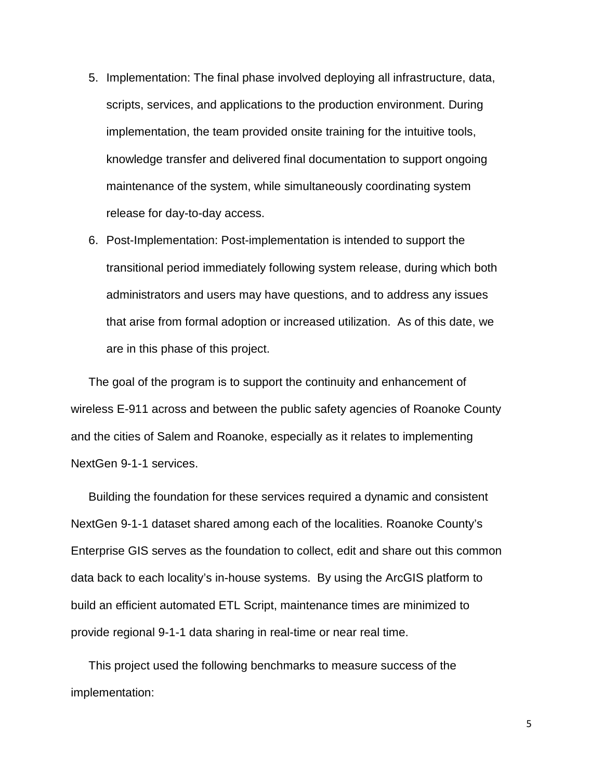- 5. Implementation: The final phase involved deploying all infrastructure, data, scripts, services, and applications to the production environment. During implementation, the team provided onsite training for the intuitive tools, knowledge transfer and delivered final documentation to support ongoing maintenance of the system, while simultaneously coordinating system release for day-to-day access.
- 6. Post-Implementation: Post-implementation is intended to support the transitional period immediately following system release, during which both administrators and users may have questions, and to address any issues that arise from formal adoption or increased utilization. As of this date, we are in this phase of this project.

The goal of the program is to support the continuity and enhancement of wireless E-911 across and between the public safety agencies of Roanoke County and the cities of Salem and Roanoke, especially as it relates to implementing NextGen 9-1-1 services.

Building the foundation for these services required a dynamic and consistent NextGen 9-1-1 dataset shared among each of the localities. Roanoke County's Enterprise GIS serves as the foundation to collect, edit and share out this common data back to each locality's in-house systems. By using the ArcGIS platform to build an efficient automated ETL Script, maintenance times are minimized to provide regional 9-1-1 data sharing in real-time or near real time.

This project used the following benchmarks to measure success of the implementation: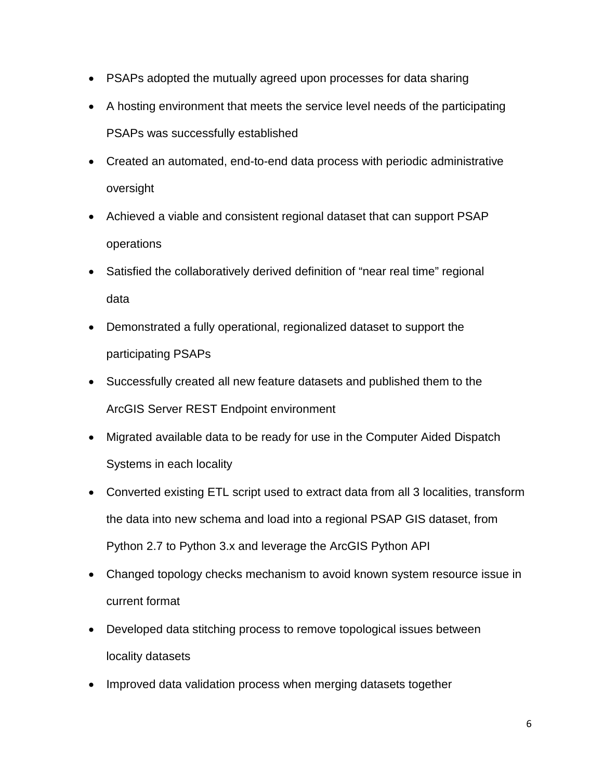- PSAPs adopted the mutually agreed upon processes for data sharing
- A hosting environment that meets the service level needs of the participating PSAPs was successfully established
- Created an automated, end-to-end data process with periodic administrative oversight
- Achieved a viable and consistent regional dataset that can support PSAP operations
- Satisfied the collaboratively derived definition of "near real time" regional data
- Demonstrated a fully operational, regionalized dataset to support the participating PSAPs
- Successfully created all new feature datasets and published them to the ArcGIS Server REST Endpoint environment
- Migrated available data to be ready for use in the Computer Aided Dispatch Systems in each locality
- Converted existing ETL script used to extract data from all 3 localities, transform the data into new schema and load into a regional PSAP GIS dataset, from Python 2.7 to Python 3.x and leverage the ArcGIS Python API
- Changed topology checks mechanism to avoid known system resource issue in current format
- Developed data stitching process to remove topological issues between locality datasets
- Improved data validation process when merging datasets together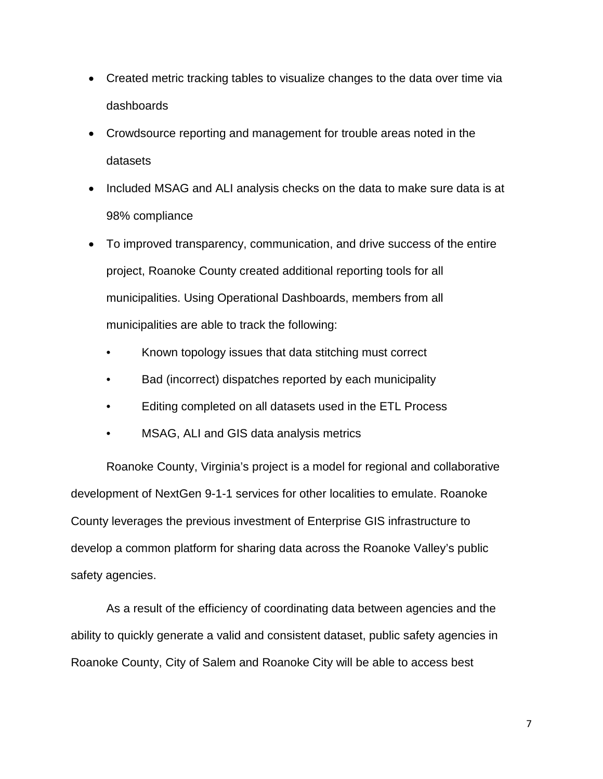- Created metric tracking tables to visualize changes to the data over time via dashboards
- Crowdsource reporting and management for trouble areas noted in the datasets
- Included MSAG and ALI analysis checks on the data to make sure data is at 98% compliance
- To improved transparency, communication, and drive success of the entire project, Roanoke County created additional reporting tools for all municipalities. Using Operational Dashboards, members from all municipalities are able to track the following:
	- Known topology issues that data stitching must correct
	- Bad (incorrect) dispatches reported by each municipality
	- Editing completed on all datasets used in the ETL Process
	- MSAG, ALI and GIS data analysis metrics

Roanoke County, Virginia's project is a model for regional and collaborative development of NextGen 9-1-1 services for other localities to emulate. Roanoke County leverages the previous investment of Enterprise GIS infrastructure to develop a common platform for sharing data across the Roanoke Valley's public safety agencies.

As a result of the efficiency of coordinating data between agencies and the ability to quickly generate a valid and consistent dataset, public safety agencies in Roanoke County, City of Salem and Roanoke City will be able to access best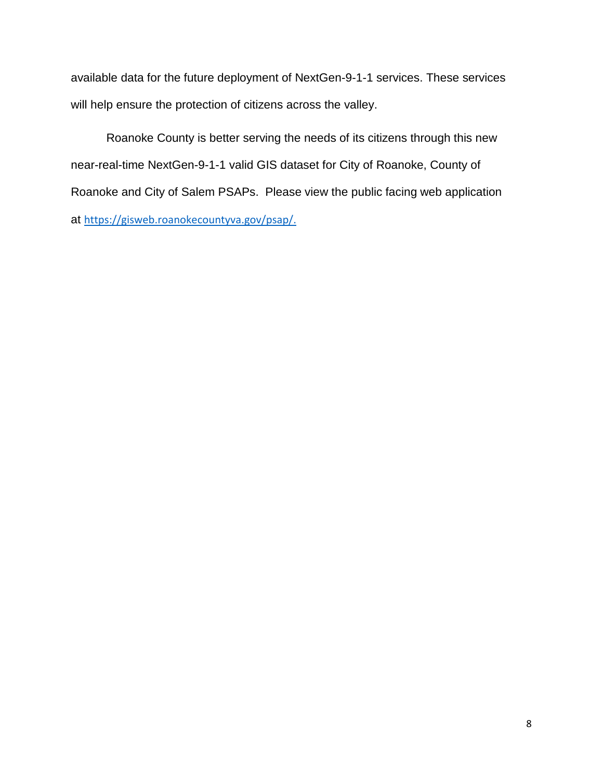available data for the future deployment of NextGen-9-1-1 services. These services will help ensure the protection of citizens across the valley.

Roanoke County is better serving the needs of its citizens through this new near-real-time NextGen-9-1-1 valid GIS dataset for City of Roanoke, County of Roanoke and City of Salem PSAPs. Please view the public facing web application at [https://gisweb.roanokecountyva.gov/psap/.](https://gisweb.roanokecountyva.gov/psap/)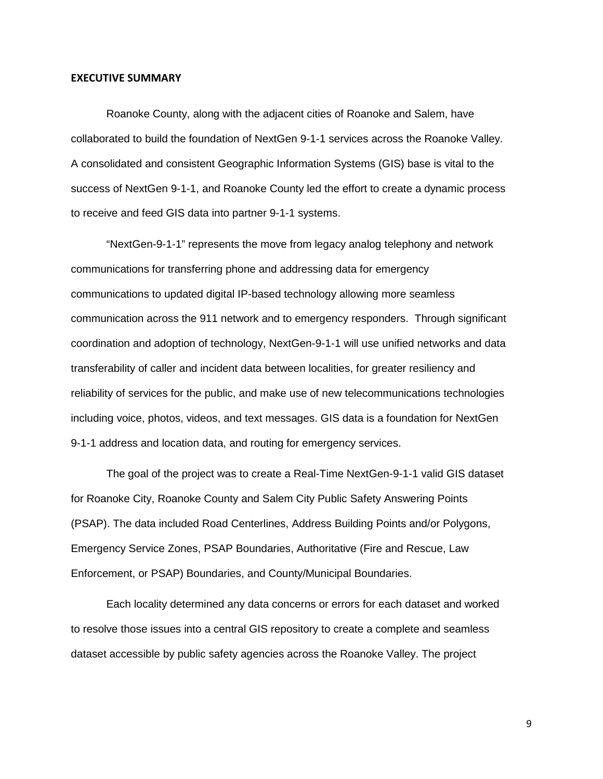#### **EXECUTIVE SUMMARY**

Roanoke County, along with the adjacent cities of Roanoke and Salem, have collaborated to build the foundation of NextGen 9-1-1 services across the Roanoke Valley. A consolidated and consistent Geographic Information Systems (GIS) base is vital to the success of NextGen 9-1-1, and Roanoke County led the effort to create a dynamic process to receive and feed GIS data into partner 9-1-1 systems.

"NextGen-9-1-1" represents the move from legacy analog telephony and network communications for transferring phone and addressing data for emergency communications to updated digital IP-based technology allowing more seamless communication across the 911 network and to emergency responders. Through significant coordination and adoption of technology, NextGen-9-1-1 will use unified networks and data transferability of caller and incident data between localities, for greater resiliency and reliability of services for the public, and make use of new telecommunications technologies including voice, photos, videos, and text messages. GIS data is a foundation for NextGen 9-1-1 address and location data, and routing for emergency services.

The goal of the project was to create a Real-Time NextGen-9-1-1 valid GIS dataset for Roanoke City, Roanoke County and Salem City Public Safety Answering Points (PSAP). The data included Road Centerlines, Address Building Points and/or Polygons, Emergency Service Zones, PSAP Boundaries, Authoritative (Fire and Rescue, Law Enforcement, or PSAP) Boundaries, and County/Municipal Boundaries.

Each locality determined any data concerns or errors for each dataset and worked to resolve those issues into a central GIS repository to create a complete and seamless dataset accessible by public safety agencies across the Roanoke Valley. The project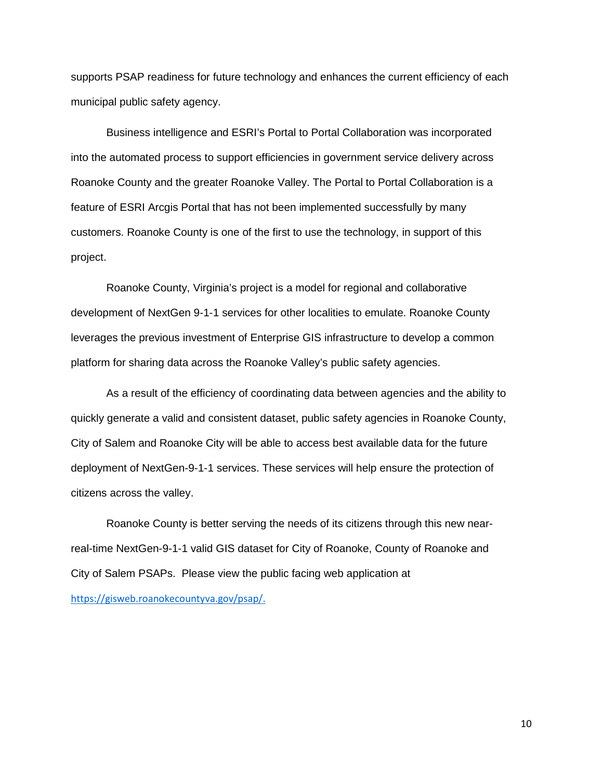supports PSAP readiness for future technology and enhances the current efficiency of each municipal public safety agency.

Business intelligence and ESRI's Portal to Portal Collaboration was incorporated into the automated process to support efficiencies in government service delivery across Roanoke County and the greater Roanoke Valley. The Portal to Portal Collaboration is a feature of ESRI Arcgis Portal that has not been implemented successfully by many customers. Roanoke County is one of the first to use the technology, in support of this project.

Roanoke County, Virginia's project is a model for regional and collaborative development of NextGen 9-1-1 services for other localities to emulate. Roanoke County leverages the previous investment of Enterprise GIS infrastructure to develop a common platform for sharing data across the Roanoke Valley's public safety agencies.

As a result of the efficiency of coordinating data between agencies and the ability to quickly generate a valid and consistent dataset, public safety agencies in Roanoke County, City of Salem and Roanoke City will be able to access best available data for the future deployment of NextGen-9-1-1 services. These services will help ensure the protection of citizens across the valley.

Roanoke County is better serving the needs of its citizens through this new nearreal-time NextGen-9-1-1 valid GIS dataset for City of Roanoke, County of Roanoke and City of Salem PSAPs. Please view the public facing web application at [https://gisweb.roanokecountyva.gov/psap/.](https://gisweb.roanokecountyva.gov/psap/)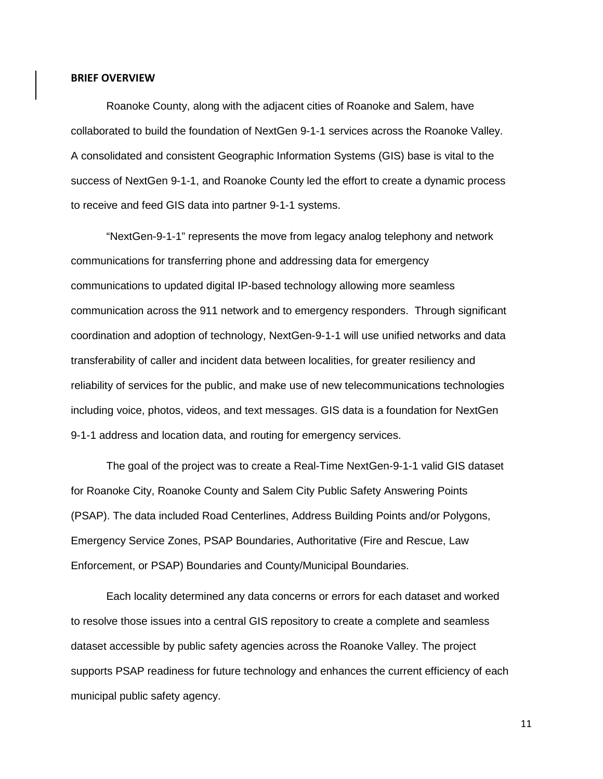#### **BRIEF OVERVIEW**

Roanoke County, along with the adjacent cities of Roanoke and Salem, have collaborated to build the foundation of NextGen 9-1-1 services across the Roanoke Valley. A consolidated and consistent Geographic Information Systems (GIS) base is vital to the success of NextGen 9-1-1, and Roanoke County led the effort to create a dynamic process to receive and feed GIS data into partner 9-1-1 systems.

"NextGen-9-1-1" represents the move from legacy analog telephony and network communications for transferring phone and addressing data for emergency communications to updated digital IP-based technology allowing more seamless communication across the 911 network and to emergency responders. Through significant coordination and adoption of technology, NextGen-9-1-1 will use unified networks and data transferability of caller and incident data between localities, for greater resiliency and reliability of services for the public, and make use of new telecommunications technologies including voice, photos, videos, and text messages. GIS data is a foundation for NextGen 9-1-1 address and location data, and routing for emergency services.

The goal of the project was to create a Real-Time NextGen-9-1-1 valid GIS dataset for Roanoke City, Roanoke County and Salem City Public Safety Answering Points (PSAP). The data included Road Centerlines, Address Building Points and/or Polygons, Emergency Service Zones, PSAP Boundaries, Authoritative (Fire and Rescue, Law Enforcement, or PSAP) Boundaries and County/Municipal Boundaries.

Each locality determined any data concerns or errors for each dataset and worked to resolve those issues into a central GIS repository to create a complete and seamless dataset accessible by public safety agencies across the Roanoke Valley. The project supports PSAP readiness for future technology and enhances the current efficiency of each municipal public safety agency.